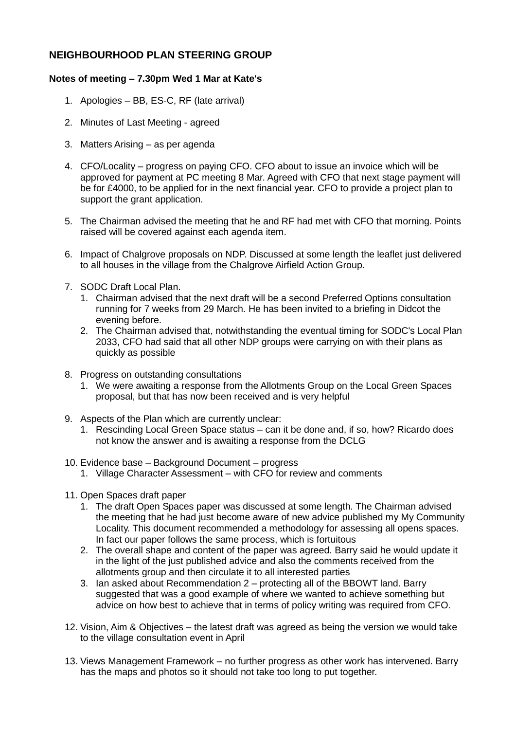## **NEIGHBOURHOOD PLAN STEERING GROUP**

## **Notes of meeting – 7.30pm Wed 1 Mar at Kate's**

- 1. Apologies BB, ES-C, RF (late arrival)
- 2. Minutes of Last Meeting agreed
- 3. Matters Arising as per agenda
- 4. CFO/Locality progress on paying CFO. CFO about to issue an invoice which will be approved for payment at PC meeting 8 Mar. Agreed with CFO that next stage payment will be for £4000, to be applied for in the next financial year. CFO to provide a project plan to support the grant application.
- 5. The Chairman advised the meeting that he and RF had met with CFO that morning. Points raised will be covered against each agenda item.
- 6. Impact of Chalgrove proposals on NDP. Discussed at some length the leaflet just delivered to all houses in the village from the Chalgrove Airfield Action Group.
- 7. SODC Draft Local Plan.
	- 1. Chairman advised that the next draft will be a second Preferred Options consultation running for 7 weeks from 29 March. He has been invited to a briefing in Didcot the evening before.
	- 2. The Chairman advised that, notwithstanding the eventual timing for SODC's Local Plan 2033, CFO had said that all other NDP groups were carrying on with their plans as quickly as possible
- 8. Progress on outstanding consultations
	- 1. We were awaiting a response from the Allotments Group on the Local Green Spaces proposal, but that has now been received and is very helpful
- 9. Aspects of the Plan which are currently unclear:
	- 1. Rescinding Local Green Space status can it be done and, if so, how? Ricardo does not know the answer and is awaiting a response from the DCLG
- 10. Evidence base Background Document progress
	- 1. Village Character Assessment with CFO for review and comments
- 11. Open Spaces draft paper
	- 1. The draft Open Spaces paper was discussed at some length. The Chairman advised the meeting that he had just become aware of new advice published my My Community Locality. This document recommended a methodology for assessing all opens spaces. In fact our paper follows the same process, which is fortuitous
	- 2. The overall shape and content of the paper was agreed. Barry said he would update it in the light of the just published advice and also the comments received from the allotments group and then circulate it to all interested parties
	- 3. Ian asked about Recommendation 2 protecting all of the BBOWT land. Barry suggested that was a good example of where we wanted to achieve something but advice on how best to achieve that in terms of policy writing was required from CFO.
- 12. Vision, Aim & Objectives the latest draft was agreed as being the version we would take to the village consultation event in April
- 13. Views Management Framework no further progress as other work has intervened. Barry has the maps and photos so it should not take too long to put together.